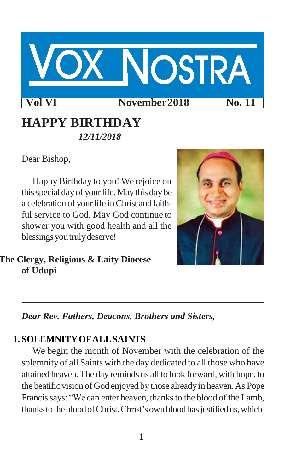

# **HAPPY BIRTHDAY** *12/11/2018*

Dear Bishop,

Happy Birthday to you! We rejoice on this special day of your life. May this day be a celebration of your life in Christ and faithful service to God. May God continue to shower you with good health and all the blessings you truly deserve!



**The Clergy, Religious & Laity Diocese of Udupi**

*Dear Rev. Fathers, Deacons, Brothers and Sisters,*

# **1. SOLEMNITYOFALLSAINTS**

We begin the month of November with the celebration of the solemnity of all Saints with the day dedicated to all those who have attained heaven.The day reminds us all to look forward, with hope, to the beatific vision of God enjoyed by those alreadyin heaven.As Pope Francis says: "We can enter heaven, thanks to the blood of the Lamb, thanks to the blood of Christ. Christ's own blood has justified us, which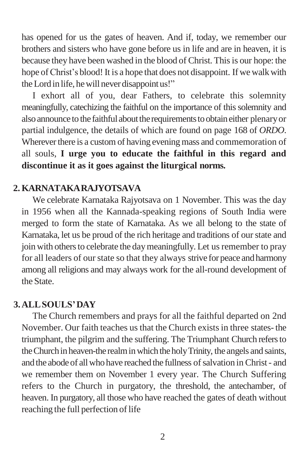has opened for us the gates of heaven. And if, today, we remember our brothers and sisters who have gone before us in life and are in heaven, it is because they have been washed in the blood of Christ. Thisis our hope: the hope of Christ's blood! It is a hope that does not disappoint. If we walk with theLordin life, hewill neverdisappointus!"

I exhort all of you, dear Fathers, to celebrate this solemnity meaningfully, catechizing the faithful on the importance of this solemnity and also announce to the faithful about the requirements to obtain either plenary or partial indulgence, the details of which are found on page 168 of *ORDO*. Wherever there is a custom of having evening mass and commemoration of all souls, **I urge you to educate the faithful in this regard and discontinue it as it goes against the liturgical norms.**

#### **2. KARNATAKARAJYOTSAVA**

We celebrate Karnataka Rajyotsava on 1 November. This was the day in 1956 when all the Kannada-speaking regions of South India were merged to form the state of Karnataka. As we all belong to the state of Karnataka, let us be proud of the rich heritage and traditions of ourstate and join with others to celebrate the day meaningfully. Let us remember to pray for all leaders of our state so that they always strive for peace and harmony among all religions and may always work for the all-round development of the State.

#### **3.ALLSOULS'DAY**

The Church remembers and prays for all the faithful departed on 2nd November. Our faith teaches us that the Church existsin three states-the triumphant, the pilgrim and the suffering. The Triumphant Church refersto the Church in heaven-the realm in which the holy Trinity, the angels and saints, and the abode of all who have reached the fullness of salvation in Christ- and we remember them on November 1 every year. The Church Suffering refers to the Church in purgatory, the threshold, the antechamber, of heaven. In purgatory, all those who have reached the gates of death without reaching the full perfection of life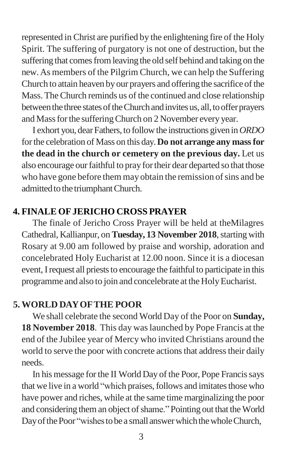represented in Christ are purified by the enlightening fire of the Holy Spirit. The suffering of purgatory is not one of destruction, but the suffering that comes from leaving the old self behind and taking on the new.As members of the Pilgrim Church, we can help the Suffering Church to attain heaven by our prayers and offering the sacrifice of the Mass.TheChurch reminds us of the continued and close relationship between the three states of the Church and invites us, all, to offer prayers and Massforthe sufferingChurch on 2 November every year.

I exhort you, dearFathers,to followthe instructions given in*ORDO*  forthe celebration of Mass on this day.**Do not arrange any massfor the dead in the church or cemetery on the previous day.** Let us also encourage our faithful to pray for their dear departed so that those who have gone before them may obtain the remission of sins and be admitted to the triumphant Church.

### **4. FINALE OFJERICHO CROSS PRAYER**

The finale of Jericho Cross Prayer will be held at theMilagres Cathedral, Kallianpur, on Tuesday, 13 November 2018, starting with Rosary at 9.00 am followed by praise and worship, adoration and concelebrated Holy Eucharist at 12.00 noon. Since it is a diocesan event, I request all priests to encourage the faithful to participate in this programme and also to join and concelebrate at the Holy Eucharist.

#### **5. WORLD DAYOFTHE POOR**

We shall celebrate the second World Day of the Poor on **Sunday, 18 November 2018**. This day waslaunched by Pope Francis at the end of the Jubilee year of Mercy who invited Christians around the world to serve the poor with concrete actions that address their daily needs.

In his message forthe II World Day of the Poor, Pope Francissays that we live in a world "which praises, follows and imitates those who have power and riches, while at the same time marginalizing the poor and considering them an object of shame." Pointing out that the World Day of the Poor "wishes to be a small answer which the whole Church,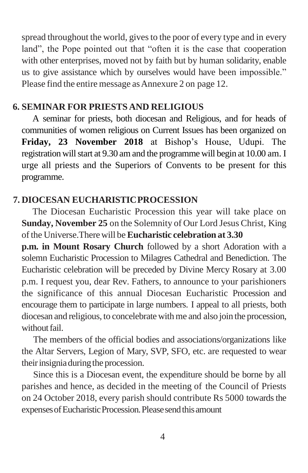spread throughout the world, gives to the poor of every type and in every land", the Pope pointed out that "often it is the case that cooperation with other enterprises, moved not by faith but by human solidarity, enable us to give assistance which by ourselves would have been impossible." Please find the entire message as Annexure 2 on page 12.

#### **6. SEMINAR FOR PRIESTS AND RELIGIOUS**

A seminar for priests, both diocesan and Religious, and for heads of communities of women religious on Current Issues has been organized on **Friday, 23 November 2018** at Bishop's House, Udupi. The registration will start at 9.30 am and the programme will begin at 10.00 am. I urge all priests and the Superiors of Convents to be present for this programme.

#### **7. DIOCESAN EUCHARISTICPROCESSION**

The Diocesan Eucharistic Procession this year will take place on **Sunday, November 25** on the Solemnity of Our Lord Jesus Christ, King ofthe Universe.There will be**Eucharistic celebration at 3.30**

**p.m. in Mount Rosary Church** followed by a short Adoration with a solemn Eucharistic Procession to Milagres Cathedral and Benediction. The Eucharistic celebration will be preceded by Divine Mercy Rosary at 3.00 p.m. I request you, dear Rev. Fathers, to announce to your parishioners the significance of this annual Diocesan Eucharistic Procession and encourage them to participate in large numbers. I appeal to all priests, both diocesan and religious, to concelebrate withme and also join the procession, without fail.

The members of the official bodies and associations/organizations like the Altar Servers, Legion of Mary, SVP, SFO, etc. are requested to wear their insignia during the procession.

Since this is a Diocesan event, the expenditure should be borne by all parishes and hence, as decided in the meeting of the Council of Priests on 24 October 2018, every parish should contribute Rs 5000 towards the expenses of Eucharistic Procession. Please send this amount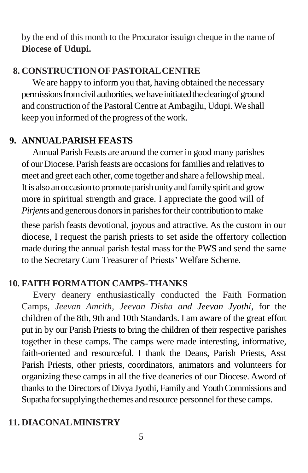by the end of this month to the Procurator issuign cheque in the name of **Diocese of Udupi.**

### **8. CONSTRUCTIONOFPASTORALCENTRE**

We are happy to inform you that, having obtained the necessary permissions from civil authorities, we have initiated the clearing of ground and construction of the Pastoral Centre at Ambagilu, Udupi. We shall keep you informed of the progress of the work.

### **9. ANNUALPARISH FEASTS**

Annual Parish Feasts are around the corner in good many parishes of our Diocese. Parish feasts are occasionsforfamilies and relativesto meet and greet each other, come together and share a fellowship meal. It is also an occasionto promote parishunityand familyspirit and grow more in spiritual strength and grace. I appreciate the good will of *Pirjents* and generous donors in parishes for their contribution to make

these parish feasts devotional, joyous and attractive. As the custom in our diocese, I request the parish priests to set aside the offertory collection made during the annual parish festal mass for the PWS and send the same to the Secretary Cum Treasurer of Priests'Welfare Scheme.

#### **10. FAITH FORMATION CAMPS-THANKS**

Every deanery enthusiastically conducted the Faith Formation Camps, *Jeevan Amrith, Jeevan Disha and Jeevan Jyothi*, for the children of the 8th, 9th and 10th Standards. I am aware of the great effort put in by our Parish Priests to bring the children of their respective parishes together in these camps. The camps were made interesting, informative, faith-oriented and resourceful. I thank the Deans, Parish Priests, Asst Parish Priests, other priests, coordinators, animators and volunteers for organizing these camps in all the five deaneries of our Diocese. Aword of thanks to the Directors of Divya Jyothi, Family and Youth Commissions and Supatha for supplying the themes and resource personnel for these camps.

#### **11. DIACONALMINISTRY**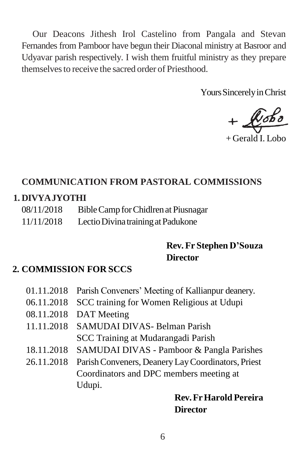Our Deacons Jithesh Irol Castelino from Pangala and Stevan Fernandes from Pamboor have begun their Diaconal ministry at Basroor and Udyavar parish respectively. I wish them fruitful ministry as they prepare themselvesto receive the sacred order of Priesthood.

Yours Sincerely in Christ

 $+$ 

+ Gerald I. Lobo

### **COMMUNICATION FROM PASTORAL COMMISSIONS**

#### **1. DIVYAJYOTHI**

08/11/2018 Bible Camp for Chidlren at Piusnagar 11/11/2018 LectioDivinatrainingatPadukone

# **Rev. Fr Stephen D'Souza Director**

## **2. COMMISSION FOR SCCS**

|            | 01.11.2018 Parish Conveners' Meeting of Kallianpur deanery. |
|------------|-------------------------------------------------------------|
| 06.11.2018 | SCC training for Women Religious at Udupi                   |
| 08.11.2018 | DAT Meeting                                                 |
|            | 11.11.2018 SAMUDAI DIVAS- Belman Parish                     |
|            | SCC Training at Mudarangadi Parish                          |
| 18.11.2018 | SAMUDAI DIVAS - Pamboor & Pangla Parishes                   |
| 26.11.2018 | Parish Conveners, Deanery Lay Coordinators, Priest          |
|            | Coordinators and DPC members meeting at                     |
|            | Udupi.                                                      |
|            | --                                                          |

## **Rev.FrHarold Pereira Director**